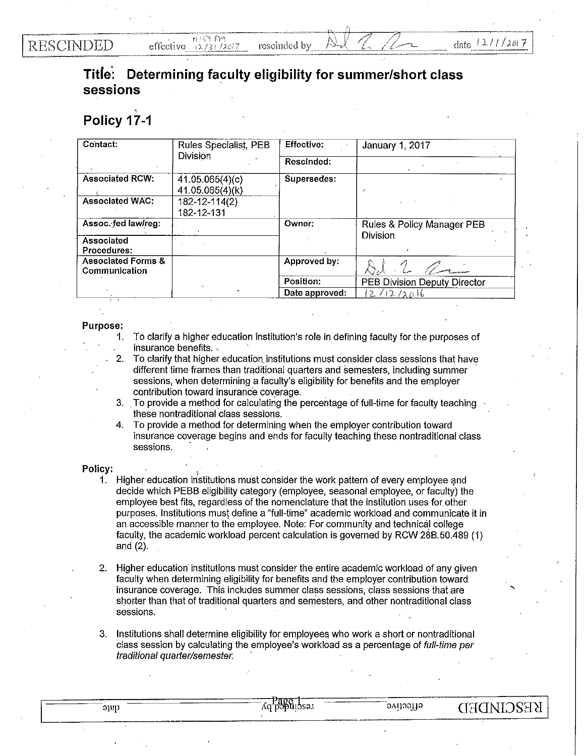**RESCINDED** 

## **Title: Determining faculty eligibility for summer/short class sessions**

## **Policy 17-1**

| Contact:                                       | Rules Specialist, PEB<br><b>Division</b> | Effective:     | January 1, 2017                               |
|------------------------------------------------|------------------------------------------|----------------|-----------------------------------------------|
|                                                |                                          | Rescinded:     |                                               |
| <b>Associated RCW:</b>                         | 41.05.065(4)(c)<br>41.05.065(4)(k)       | Supersedes:    |                                               |
| <b>Associated WAC:</b>                         | $182 - 12 - 114(2)$<br>182-12-131        |                |                                               |
| Assoc. fed law/reg:                            |                                          | Owner:         | Rules & Policy Manager PEB<br><b>Division</b> |
| Associated<br>Procedures:                      |                                          |                |                                               |
| <b>Associated Forms &amp;</b><br>Communication |                                          | Approved by:   |                                               |
|                                                |                                          | Position:      | PEB Division Deputy Director                  |
|                                                |                                          | Date approved: | 12/12/2016                                    |

## Purpose:

- 1. To clarify a higher education institution's role in defining faculty for the purposes of insurance benefits.
- . 2. To clarify that higher education. institutions must consider class sessions that have different time frames than traditional quarters and semesters, including summer sessions, when determining a faculty's eligibility for benefits and the employer contribution toward insurance coverage.
- 3. To provide a method for calculating the percentage of full-time for faculty teaching these nontraditional class sessions.
- 4. To provide a method for determining when the employer contribution toward insurance coverage begins and ends for faculty teaching these nontraditional class sessions.

## Policy:

- 1. Higher education institutions must consider the work pattern of every employee and decide which PEBB eligibility category (employee, seasonal employee, or faculty) the employee best fits, regardless of the nomenclature that the institution uses for other purposes. Institutions must define a "full-time" academic workload and communicate it in an accessible manner to the employee. Note: For community and technical college faculty, the academic workload percent calculation is governed by RCW 288.50.489 (1) and  $(2)$ .
- 2. Higher education institutions must consider the entire academic workload of any given faculty when determining eligibility for benefits and the employer contribution toward insurance coverage. This includes summer class sessions, class sessions that are shorter than that of traditional quarters and sernesters, and other nontraditional class sessions.
- 3. Institutions shall determine eligibility for employees who work a short or nontraditional class session by calculating the employee's workload as a percentage of *full-lime per traditional quarlerlsemester.* ·

| I |  | ۰, |
|---|--|----|

'